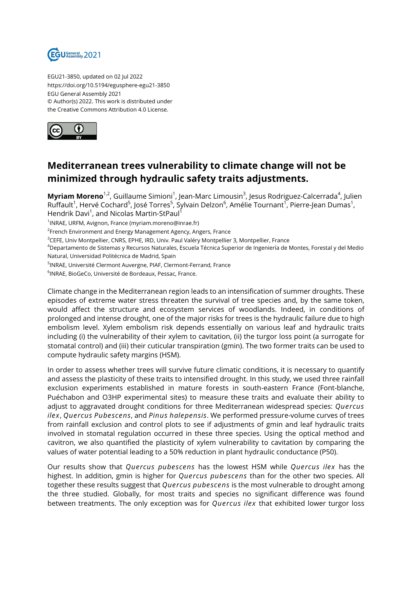

EGU21-3850, updated on 02 Jul 2022 https://doi.org/10.5194/egusphere-egu21-3850 EGU General Assembly 2021 © Author(s) 2022. This work is distributed under the Creative Commons Attribution 4.0 License.



## **Mediterranean trees vulnerability to climate change will not be minimized through hydraulic safety traits adjustments.**

**Myriam Moreno**<sup>1,2</sup>, Guillaume Simioni<sup>1</sup>, Jean-Marc Limousin<sup>3</sup>, Jesus Rodriguez-Calcerrada<sup>4</sup>, Julien Ruffault<sup>1</sup>, Hervé Cochard<sup>5</sup>, José Torres<sup>5</sup>, Sylvain Delzon<sup>6</sup>, Amélie Tournant<sup>1</sup>, Pierre-Jean Dumas<sup>1</sup>, Hendrik Davi<sup>1</sup>, and Nicolas Martin-StPaul<sup>1</sup>

1 INRAE, URFM, Avignon, France (myriam.moreno@inrae.fr)

<sup>2</sup>French Environment and Energy Management Agency, Angers, France

<sup>3</sup>CEFE, Univ Montpellier, CNRS, EPHE, IRD, Univ. Paul Valéry Montpellier 3, Montpellier, France

<sup>4</sup>Departamento de Sistemas y Recursos Naturales, Escuela Técnica Superior de Ingeniería de Montes, Forestal y del Medio Natural, Universidad Politécnica de Madrid, Spain

<sup>5</sup>INRAE, Université Clermont Auvergne, PIAF, Clermont-Ferrand, France

6 INRAE, BioGeCo, Université de Bordeaux, Pessac, France.

Climate change in the Mediterranean region leads to an intensification of summer droughts. These episodes of extreme water stress threaten the survival of tree species and, by the same token, would affect the structure and ecosystem services of woodlands. Indeed, in conditions of prolonged and intense drought, one of the major risks for trees is the hydraulic failure due to high embolism level. Xylem embolism risk depends essentially on various leaf and hydraulic traits including (i) the vulnerability of their xylem to cavitation, (ii) the turgor loss point (a surrogate for stomatal control) and (iii) their cuticular transpiration (gmin). The two former traits can be used to compute hydraulic safety margins (HSM).

In order to assess whether trees will survive future climatic conditions, it is necessary to quantify and assess the plasticity of these traits to intensified drought. In this study, we used three rainfall exclusion experiments established in mature forests in south-eastern France (Font-blanche, Puéchabon and O3HP experimental sites) to measure these traits and evaluate their ability to adjust to aggravated drought conditions for three Mediterranean widespread species: *Quercus ilex*, *Quercus Pubescens*, and *Pinus halepensis*. We performed pressure-volume curves of trees from rainfall exclusion and control plots to see if adjustments of gmin and leaf hydraulic traits involved in stomatal regulation occurred in these three species. Using the optical method and cavitron, we also quantified the plasticity of xylem vulnerability to cavitation by comparing the values of water potential leading to a 50% reduction in plant hydraulic conductance (P50).

Our results show that *Quercus pubescens* has the lowest HSM while *Quercus ilex* has the highest. In addition, gmin is higher for *Quercus pubescens* than for the other two species. All together these results suggest that *Quercus pubescens* is the most vulnerable to drought among the three studied. Globally, for most traits and species no significant difference was found between treatments. The only exception was for *Quercus ilex* that exhibited lower turgor loss